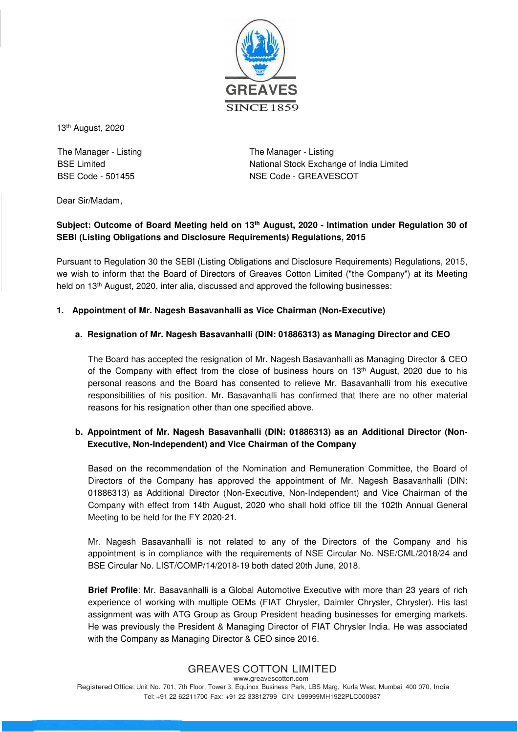

13th August, 2020

The Manager - Listing BSE Limited BSE Code - 501455

The Manager - Listing National Stock Exchange of India Limited NSE Code - GREAVESCOT

Dear Sir/Madam,

# **Subject: Outcome of Board Meeting held on 13th August, 2020 - Intimation under Regulation 30 of SEBI (Listing Obligations and Disclosure Requirements) Regulations, 2015**

Pursuant to Regulation 30 the SEBI (Listing Obligations and Disclosure Requirements) Regulations, 2015, we wish to inform that the Board of Directors of Greaves Cotton Limited ("the Company") at its Meeting held on 13<sup>th</sup> August, 2020, inter alia, discussed and approved the following businesses:

## **1. Appointment of Mr. Nagesh Basavanhalli as Vice Chairman (Non-Executive)**

## **a. Resignation of Mr. Nagesh Basavanhalli (DIN: 01886313) as Managing Director and CEO**

The Board has accepted the resignation of Mr. Nagesh Basavanhalli as Managing Director & CEO of the Company with effect from the close of business hours on 13<sup>th</sup> August, 2020 due to his personal reasons and the Board has consented to relieve Mr. Basavanhalli from his executive responsibilities of his position. Mr. Basavanhalli has confirmed that there are no other material reasons for his resignation other than one specified above.

## **b. Appointment of Mr. Nagesh Basavanhalli (DIN: 01886313) as an Additional Director (Non-Executive, Non-Independent) and Vice Chairman of the Company**

Based on the recommendation of the Nomination and Remuneration Committee, the Board of Directors of the Company has approved the appointment of Mr. Nagesh Basavanhalli (DIN: 01886313) as Additional Director (Non-Executive, Non-Independent) and Vice Chairman of the Company with effect from 14th August, 2020 who shall hold office till the 102th Annual General Meeting to be held for the FY 2020-21.

Mr. Nagesh Basavanhalli is not related to any of the Directors of the Company and his appointment is in compliance with the requirements of NSE Circular No. NSE/CML/2018/24 and BSE Circular No. LIST/COMP/14/2018-19 both dated 20th June, 2018.

**Brief Profile**: Mr. Basavanhalli is a Global Automotive Executive with more than 23 years of rich experience of working with multiple OEMs (FIAT Chrysler, Daimler Chrysler, Chrysler). His last assignment was with ATG Group as Group President heading businesses for emerging markets. He was previously the President & Managing Director of FIAT Chrysler India. He was associated with the Company as Managing Director & CEO since 2016.

#### GREAVES COTTON LIMITED www.greavescotton.com

Registered Office: Unit No. 701, 7th Floor, Tower 3, Equinox Business Park, LBS Marg, Kurla West, Mumbai 400 070, India Tel: +91 22 62211700 Fax: +91 22 33812799 CIN: L99999MH1922PLC000987